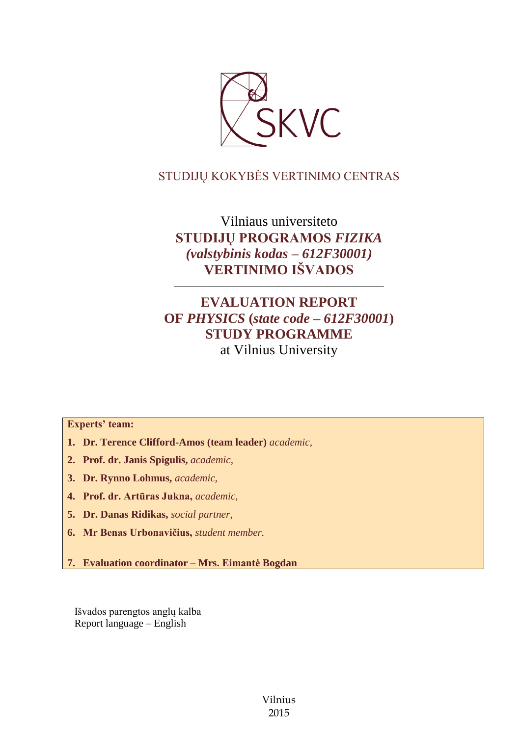

## STUDIJŲ KOKYBĖS VERTINIMO CENTRAS

Vilniaus universiteto **STUDIJŲ PROGRAMOS** *FIZIKA (valstybinis kodas – 612F30001)* **VERTINIMO IŠVADOS**

––––––––––––––––––––––––––––––

## **EVALUATION REPORT OF** *PHYSICS* **(***state code – 612F30001***) STUDY PROGRAMME** at Vilnius University

**Experts' team:** 

- **1. Dr. Terence Clifford-Amos (team leader)** *academic,*
- **2. Prof. dr. Janis Spigulis,** *academic,*
- **3. Dr. Rynno Lohmus,** *academic,*
- **4. Prof. dr. Artūras Jukna,** *academic,*
- **5. Dr. Danas Ridikas,** *social partner,*
- **6. Mr Benas Urbonavičius,** *student member.*
- **7. Evaluation coordinator – Mrs. Eimantė Bogdan**

Išvados parengtos anglų kalba Report language – English

> Vilnius 2015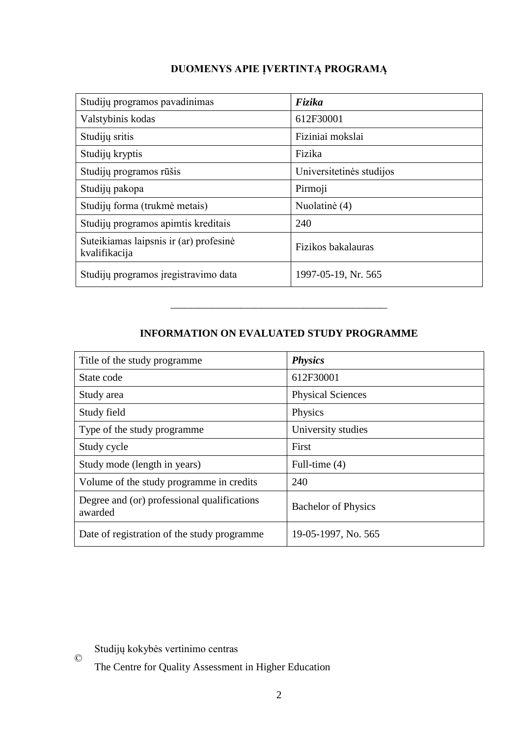# **DUOMENYS APIE ĮVERTINTĄ PROGRAMĄ**

| Studijų programos pavadinimas                           | Fizika                   |
|---------------------------------------------------------|--------------------------|
| Valstybinis kodas                                       | 612F30001                |
| Studijų sritis                                          | Fiziniai mokslai         |
| Studijų kryptis                                         | Fizika                   |
| Studijų programos rūšis                                 | Universitetinės studijos |
| Studijų pakopa                                          | Pirmoji                  |
| Studijų forma (trukmė metais)                           | Nuolatinė (4)            |
| Studijų programos apimtis kreditais                     | 240                      |
| Suteikiamas laipsnis ir (ar) profesinė<br>kvalifikacija | Fizikos bakalauras       |
| Studijų programos įregistravimo data                    | 1997-05-19, Nr. 565      |

## **INFORMATION ON EVALUATED STUDY PROGRAMME**

–––––––––––––––––––––––––––––––

| Title of the study programme                           | <b>Physics</b>             |
|--------------------------------------------------------|----------------------------|
| State code                                             | 612F30001                  |
| Study area                                             | <b>Physical Sciences</b>   |
| Study field                                            | Physics                    |
| Type of the study programme                            | University studies         |
| Study cycle                                            | First                      |
| Study mode (length in years)                           | Full-time (4)              |
| Volume of the study programme in credits               | 240                        |
| Degree and (or) professional qualifications<br>awarded | <b>Bachelor of Physics</b> |
| Date of registration of the study programme.           | 19-05-1997, No. 565        |

 $\odot$ Studijų kokybės vertinimo centras

The Centre for Quality Assessment in Higher Education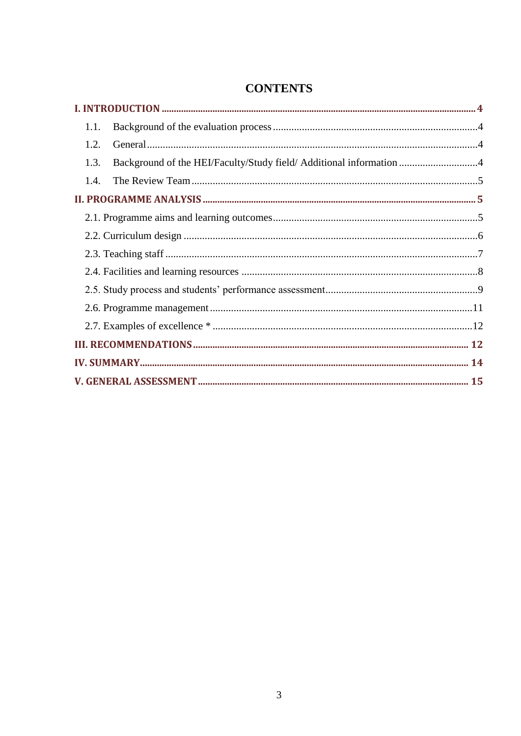| 1.1.                                                                        |  |
|-----------------------------------------------------------------------------|--|
| 1.2.                                                                        |  |
| Background of the HEI/Faculty/Study field/ Additional information 4<br>1.3. |  |
| 1.4.                                                                        |  |
|                                                                             |  |
|                                                                             |  |
|                                                                             |  |
|                                                                             |  |
|                                                                             |  |
|                                                                             |  |
|                                                                             |  |
|                                                                             |  |
|                                                                             |  |
|                                                                             |  |
|                                                                             |  |

# **CONTENTS**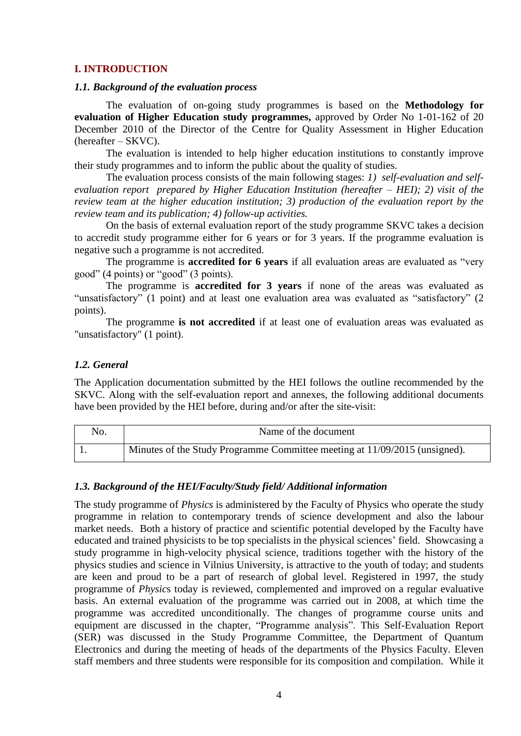#### <span id="page-3-0"></span>**I. INTRODUCTION**

#### <span id="page-3-1"></span>*1.1. Background of the evaluation process*

The evaluation of on-going study programmes is based on the **Methodology for evaluation of Higher Education study programmes,** approved by Order No 1-01-162 of 20 December 2010 of the Director of the Centre for Quality Assessment in Higher Education (hereafter – SKVC).

The evaluation is intended to help higher education institutions to constantly improve their study programmes and to inform the public about the quality of studies.

The evaluation process consists of the main following stages: *1) self-evaluation and selfevaluation report prepared by Higher Education Institution (hereafter – HEI); 2) visit of the review team at the higher education institution; 3) production of the evaluation report by the review team and its publication; 4) follow-up activities.* 

On the basis of external evaluation report of the study programme SKVC takes a decision to accredit study programme either for 6 years or for 3 years. If the programme evaluation is negative such a programme is not accredited.

The programme is **accredited for 6 years** if all evaluation areas are evaluated as "very good" (4 points) or "good" (3 points).

The programme is **accredited for 3 years** if none of the areas was evaluated as "unsatisfactory" (1 point) and at least one evaluation area was evaluated as "satisfactory" (2 points).

The programme **is not accredited** if at least one of evaluation areas was evaluated as "unsatisfactory" (1 point).

#### <span id="page-3-2"></span>*1.2. General*

The Application documentation submitted by the HEI follows the outline recommended by the SKVC. Along with the self-evaluation report and annexes, the following additional documents have been provided by the HEI before, during and/or after the site-visit:

| No. | Name of the document                                                       |
|-----|----------------------------------------------------------------------------|
|     | Minutes of the Study Programme Committee meeting at 11/09/2015 (unsigned). |

#### <span id="page-3-3"></span>*1.3. Background of the HEI/Faculty/Study field/ Additional information*

The study programme of *Physics* is administered by the Faculty of Physics who operate the study programme in relation to contemporary trends of science development and also the labour market needs. Both a history of practice and scientific potential developed by the Faculty have educated and trained physicists to be top specialists in the physical sciences' field. Showcasing a study programme in high-velocity physical science, traditions together with the history of the physics studies and science in Vilnius University, is attractive to the youth of today; and students are keen and proud to be a part of research of global level. Registered in 1997, the study programme of *Physic*s today is reviewed, complemented and improved on a regular evaluative basis. An external evaluation of the programme was carried out in 2008, at which time the programme was accredited unconditionally. The changes of programme course units and equipment are discussed in the chapter, "Programme analysis". This Self-Evaluation Report (SER) was discussed in the Study Programme Committee, the Department of Quantum Electronics and during the meeting of heads of the departments of the Physics Faculty. Eleven staff members and three students were responsible for its composition and compilation. While it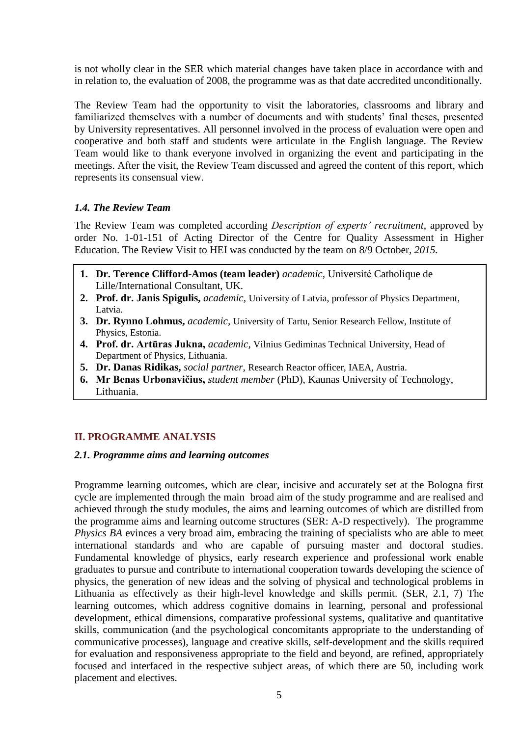is not wholly clear in the SER which material changes have taken place in accordance with and in relation to, the evaluation of 2008, the programme was as that date accredited unconditionally.

The Review Team had the opportunity to visit the laboratories, classrooms and library and familiarized themselves with a number of documents and with students' final theses, presented by University representatives. All personnel involved in the process of evaluation were open and cooperative and both staff and students were articulate in the English language. The Review Team would like to thank everyone involved in organizing the event and participating in the meetings. After the visit, the Review Team discussed and agreed the content of this report, which represents its consensual view.

## <span id="page-4-0"></span>*1.4. The Review Team*

The Review Team was completed according *Description of experts' recruitment*, approved by order No. 1-01-151 of Acting Director of the Centre for Quality Assessment in Higher Education. The Review Visit to HEI was conducted by the team on 8/9 October*, 2015.*

- **1. Dr. Terence Clifford-Amos (team leader)** *academic,* Université Catholique de Lille/International Consultant, UK.
- **2. Prof. dr. Janis Spigulis,** *academic,* University of Latvia, professor of Physics Department, Latvia.
- **3. Dr. Rynno Lohmus,** *academic,* University of Tartu, Senior Research Fellow, Institute of Physics, Estonia.
- **4. Prof. dr. Artūras Jukna,** *academic,* Vilnius Gediminas Technical University, Head of Department of Physics, Lithuania.
- **5. Dr. Danas Ridikas,** *social partner,* Research Reactor officer, IAEA, Austria.
- **6. Mr Benas Urbonavičius,** *student member* (PhD), Kaunas University of Technology, Lithuania.

## <span id="page-4-1"></span>**II. PROGRAMME ANALYSIS**

#### <span id="page-4-2"></span>*2.1. Programme aims and learning outcomes*

Programme learning outcomes, which are clear, incisive and accurately set at the Bologna first cycle are implemented through the main broad aim of the study programme and are realised and achieved through the study modules, the aims and learning outcomes of which are distilled from the programme aims and learning outcome structures (SER: A-D respectively). The programme *Physics BA* evinces a very broad aim, embracing the training of specialists who are able to meet international standards and who are capable of pursuing master and doctoral studies. Fundamental knowledge of physics, early research experience and professional work enable graduates to pursue and contribute to international cooperation towards developing the science of physics, the generation of new ideas and the solving of physical and technological problems in Lithuania as effectively as their high-level knowledge and skills permit. (SER, 2.1, 7) The learning outcomes, which address cognitive domains in learning, personal and professional development, ethical dimensions, comparative professional systems, qualitative and quantitative skills, communication (and the psychological concomitants appropriate to the understanding of communicative processes), language and creative skills, self-development and the skills required for evaluation and responsiveness appropriate to the field and beyond, are refined, appropriately focused and interfaced in the respective subject areas, of which there are 50, including work placement and electives.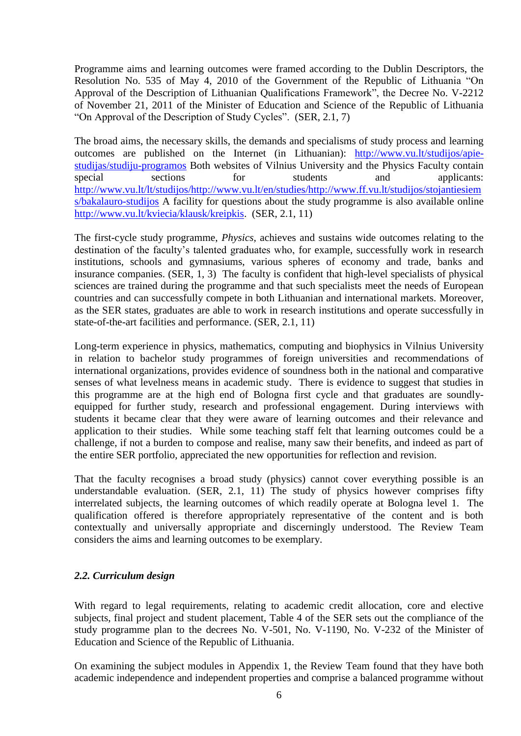Programme aims and learning outcomes were framed according to the Dublin Descriptors, the Resolution No. 535 of May 4, 2010 of the Government of the Republic of Lithuania "On Approval of the Description of Lithuanian Qualifications Framework", the Decree No. V-2212 of November 21, 2011 of the Minister of Education and Science of the Republic of Lithuania "On Approval of the Description of Study Cycles". (SER, 2.1, 7)

The broad aims, the necessary skills, the demands and specialisms of study process and learning outcomes are published on the Internet (in Lithuanian): [http://www.vu.lt/studijos/apie](http://www.vu.lt/studijos/apie-studijas/studiju-programos)[studijas/studiju-programos](http://www.vu.lt/studijos/apie-studijas/studiju-programos) Both websites of Vilnius University and the Physics Faculty contain special sections for students and applicants: [http://www.vu.lt/lt/studijos/http://www.vu.lt/en/studies/http://www.ff.vu.lt/studijos/stojantiesiem](http://www.vu.lt/lt/studijos/http:/www.vu.lt/en/studies/http:/www.ff.vu.lt/studijos/stojantiesiems/bakalauro-studijos) [s/bakalauro-studijos](http://www.vu.lt/lt/studijos/http:/www.vu.lt/en/studies/http:/www.ff.vu.lt/studijos/stojantiesiems/bakalauro-studijos) A facility for questions about the study programme is also available online [http://www.vu.lt/kviecia/klausk/kreipkis.](http://www.vu.lt/kviecia/klausk/kreipkis) (SER, 2.1, 11)

The first-cycle study programme, *Physics,* achieves and sustains wide outcomes relating to the destination of the faculty's talented graduates who, for example, successfully work in research institutions, schools and gymnasiums, various spheres of economy and trade, banks and insurance companies. (SER, 1, 3) The faculty is confident that high-level specialists of physical sciences are trained during the programme and that such specialists meet the needs of European countries and can successfully compete in both Lithuanian and international markets. Moreover, as the SER states, graduates are able to work in research institutions and operate successfully in state-of-the-art facilities and performance. (SER, 2.1, 11)

Long-term experience in physics, mathematics, computing and biophysics in Vilnius University in relation to bachelor study programmes of foreign universities and recommendations of international organizations, provides evidence of soundness both in the national and comparative senses of what levelness means in academic study. There is evidence to suggest that studies in this programme are at the high end of Bologna first cycle and that graduates are soundlyequipped for further study, research and professional engagement. During interviews with students it became clear that they were aware of learning outcomes and their relevance and application to their studies. While some teaching staff felt that learning outcomes could be a challenge, if not a burden to compose and realise, many saw their benefits, and indeed as part of the entire SER portfolio, appreciated the new opportunities for reflection and revision.

That the faculty recognises a broad study (physics) cannot cover everything possible is an understandable evaluation. (SER, 2.1, 11) The study of physics however comprises fifty interrelated subjects, the learning outcomes of which readily operate at Bologna level 1. The qualification offered is therefore appropriately representative of the content and is both contextually and universally appropriate and discerningly understood. The Review Team considers the aims and learning outcomes to be exemplary.

## <span id="page-5-0"></span>*2.2. Curriculum design*

With regard to legal requirements, relating to academic credit allocation, core and elective subjects, final project and student placement, Table 4 of the SER sets out the compliance of the study programme plan to the decrees No. V-501, No. V-1190, No. V-232 of the Minister of Education and Science of the Republic of Lithuania.

On examining the subject modules in Appendix 1, the Review Team found that they have both academic independence and independent properties and comprise a balanced programme without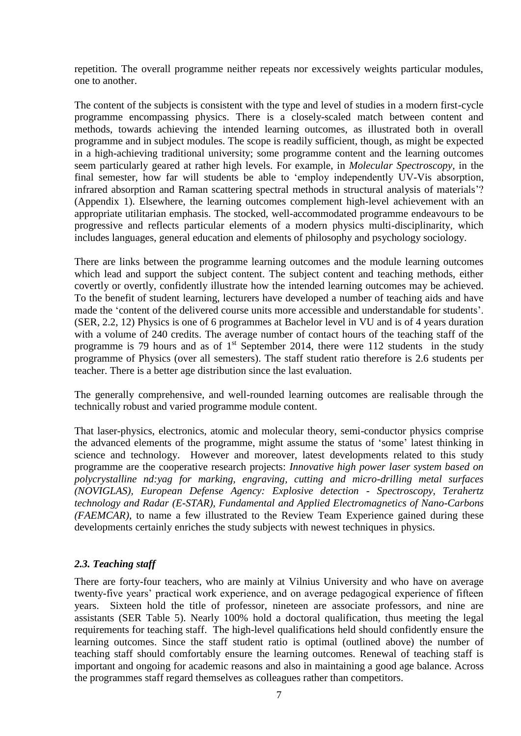repetition. The overall programme neither repeats nor excessively weights particular modules, one to another.

The content of the subjects is consistent with the type and level of studies in a modern first-cycle programme encompassing physics. There is a closely-scaled match between content and methods, towards achieving the intended learning outcomes, as illustrated both in overall programme and in subject modules. The scope is readily sufficient, though, as might be expected in a high-achieving traditional university; some programme content and the learning outcomes seem particularly geared at rather high levels. For example, in *Molecular Spectroscopy,* in the final semester, how far will students be able to 'employ independently UV-Vis absorption, infrared absorption and Raman scattering spectral methods in structural analysis of materials'? (Appendix 1). Elsewhere, the learning outcomes complement high-level achievement with an appropriate utilitarian emphasis. The stocked, well-accommodated programme endeavours to be progressive and reflects particular elements of a modern physics multi-disciplinarity, which includes languages, general education and elements of philosophy and psychology sociology.

There are links between the programme learning outcomes and the module learning outcomes which lead and support the subject content. The subject content and teaching methods, either covertly or overtly, confidently illustrate how the intended learning outcomes may be achieved. To the benefit of student learning, lecturers have developed a number of teaching aids and have made the 'content of the delivered course units more accessible and understandable for students'. (SER, 2.2, 12) Physics is one of 6 programmes at Bachelor level in VU and is of 4 years duration with a volume of 240 credits. The average number of contact hours of the teaching staff of the programme is 79 hours and as of  $1<sup>st</sup>$  September 2014, there were 112 students in the study programme of Physics (over all semesters). The staff student ratio therefore is 2.6 students per teacher. There is a better age distribution since the last evaluation.

The generally comprehensive, and well-rounded learning outcomes are realisable through the technically robust and varied programme module content.

That laser-physics, electronics, atomic and molecular theory, semi-conductor physics comprise the advanced elements of the programme, might assume the status of 'some' latest thinking in science and technology. However and moreover, latest developments related to this study programme are the cooperative research projects: *Innovative high power laser system based on polycrystalline nd:yag for marking, engraving, cutting and micro-drilling metal surfaces (NOVIGLAS), European Defense Agency: Explosive detection - Spectroscopy, Terahertz technology and Radar (E-STAR), Fundamental and Applied Electromagnetics of Nano-Carbons (FAEMCAR)*, to name a few illustrated to the Review Team Experience gained during these developments certainly enriches the study subjects with newest techniques in physics.

## <span id="page-6-0"></span>*2.3. Teaching staff*

There are forty-four teachers, who are mainly at Vilnius University and who have on average twenty-five years' practical work experience, and on average pedagogical experience of fifteen years. Sixteen hold the title of professor, nineteen are associate professors, and nine are assistants (SER Table 5). Nearly 100% hold a doctoral qualification, thus meeting the legal requirements for teaching staff. The high-level qualifications held should confidently ensure the learning outcomes. Since the staff student ratio is optimal (outlined above) the number of teaching staff should comfortably ensure the learning outcomes. Renewal of teaching staff is important and ongoing for academic reasons and also in maintaining a good age balance. Across the programmes staff regard themselves as colleagues rather than competitors.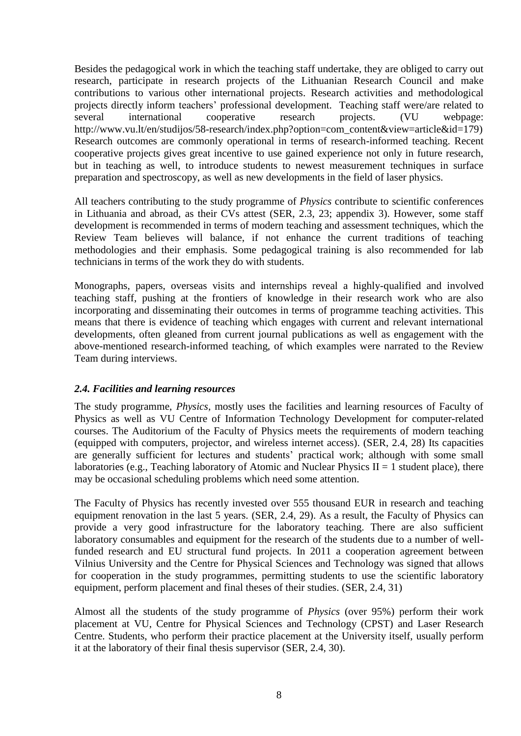Besides the pedagogical work in which the teaching staff undertake, they are obliged to carry out research, participate in research projects of the Lithuanian Research Council and make contributions to various other international projects. Research activities and methodological projects directly inform teachers' professional development. Teaching staff were/are related to several international cooperative research projects. (VU webpage: http://www.vu.lt/en/studijos/58-research/index.php?option=com\_content&view=article&id=179) Research outcomes are commonly operational in terms of research-informed teaching. Recent cooperative projects gives great incentive to use gained experience not only in future research, but in teaching as well, to introduce students to newest measurement techniques in surface preparation and spectroscopy, as well as new developments in the field of laser physics.

All teachers contributing to the study programme of *Physics* contribute to scientific conferences in Lithuania and abroad, as their CVs attest (SER, 2.3, 23; appendix 3). However, some staff development is recommended in terms of modern teaching and assessment techniques, which the Review Team believes will balance, if not enhance the current traditions of teaching methodologies and their emphasis. Some pedagogical training is also recommended for lab technicians in terms of the work they do with students.

Monographs, papers, overseas visits and internships reveal a highly-qualified and involved teaching staff, pushing at the frontiers of knowledge in their research work who are also incorporating and disseminating their outcomes in terms of programme teaching activities. This means that there is evidence of teaching which engages with current and relevant international developments, often gleaned from current journal publications as well as engagement with the above-mentioned research-informed teaching, of which examples were narrated to the Review Team during interviews.

## <span id="page-7-0"></span>*2.4. Facilities and learning resources*

The study programme, *Physics,* mostly uses the facilities and learning resources of Faculty of Physics as well as VU Centre of Information Technology Development for computer-related courses. The Auditorium of the Faculty of Physics meets the requirements of modern teaching (equipped with computers, projector, and wireless internet access). (SER, 2.4, 28) Its capacities are generally sufficient for lectures and students' practical work; although with some small laboratories (e.g., Teaching laboratory of Atomic and Nuclear Physics  $II = 1$  student place), there may be occasional scheduling problems which need some attention.

The Faculty of Physics has recently invested over 555 thousand EUR in research and teaching equipment renovation in the last 5 years. (SER, 2.4, 29). As a result, the Faculty of Physics can provide a very good infrastructure for the laboratory teaching. There are also sufficient laboratory consumables and equipment for the research of the students due to a number of wellfunded research and EU structural fund projects. In 2011 a cooperation agreement between Vilnius University and the Centre for Physical Sciences and Technology was signed that allows for cooperation in the study programmes, permitting students to use the scientific laboratory equipment, perform placement and final theses of their studies. (SER, 2.4, 31)

Almost all the students of the study programme of *Physics* (over 95%) perform their work placement at VU, Centre for Physical Sciences and Technology (CPST) and Laser Research Centre. Students, who perform their practice placement at the University itself, usually perform it at the laboratory of their final thesis supervisor (SER, 2.4, 30).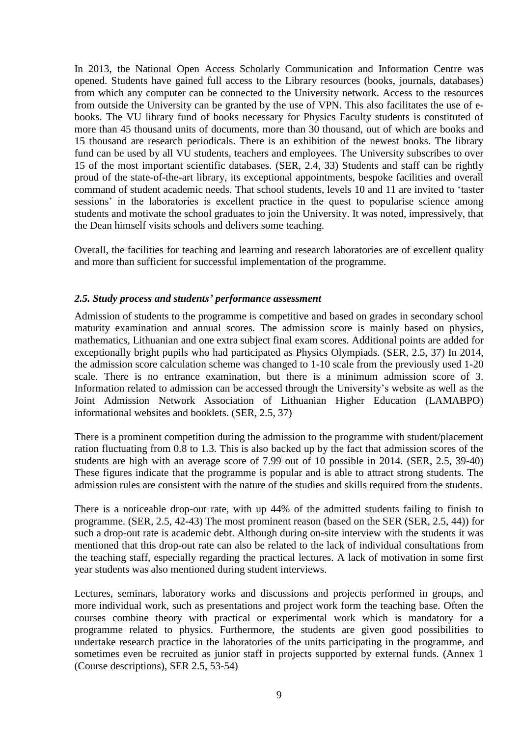In 2013, the National Open Access Scholarly Communication and Information Centre was opened. Students have gained full access to the Library resources (books, journals, databases) from which any computer can be connected to the University network. Access to the resources from outside the University can be granted by the use of VPN. This also facilitates the use of ebooks. The VU library fund of books necessary for Physics Faculty students is constituted of more than 45 thousand units of documents, more than 30 thousand, out of which are books and 15 thousand are research periodicals. There is an exhibition of the newest books. The library fund can be used by all VU students, teachers and employees. The University subscribes to over 15 of the most important scientific databases. (SER, 2.4, 33) Students and staff can be rightly proud of the state-of-the-art library, its exceptional appointments, bespoke facilities and overall command of student academic needs. That school students, levels 10 and 11 are invited to 'taster sessions' in the laboratories is excellent practice in the quest to popularise science among students and motivate the school graduates to join the University. It was noted, impressively, that the Dean himself visits schools and delivers some teaching.

Overall, the facilities for teaching and learning and research laboratories are of excellent quality and more than sufficient for successful implementation of the programme.

### <span id="page-8-0"></span>*2.5. Study process and students' performance assessment*

Admission of students to the programme is competitive and based on grades in secondary school maturity examination and annual scores. The admission score is mainly based on physics, mathematics, Lithuanian and one extra subject final exam scores. Additional points are added for exceptionally bright pupils who had participated as Physics Olympiads. (SER, 2.5, 37) In 2014, the admission score calculation scheme was changed to 1-10 scale from the previously used 1-20 scale. There is no entrance examination, but there is a minimum admission score of 3. Information related to admission can be accessed through the University's website as well as the Joint Admission Network Association of Lithuanian Higher Education (LAMABPO) informational websites and booklets. (SER, 2.5, 37)

There is a prominent competition during the admission to the programme with student/placement ration fluctuating from 0.8 to 1.3. This is also backed up by the fact that admission scores of the students are high with an average score of 7.99 out of 10 possible in 2014. (SER, 2.5, 39-40) These figures indicate that the programme is popular and is able to attract strong students. The admission rules are consistent with the nature of the studies and skills required from the students.

There is a noticeable drop-out rate, with up 44% of the admitted students failing to finish to programme. (SER, 2.5, 42-43) The most prominent reason (based on the SER (SER, 2.5, 44)) for such a drop-out rate is academic debt. Although during on-site interview with the students it was mentioned that this drop-out rate can also be related to the lack of individual consultations from the teaching staff, especially regarding the practical lectures. A lack of motivation in some first year students was also mentioned during student interviews.

Lectures, seminars, laboratory works and discussions and projects performed in groups, and more individual work, such as presentations and project work form the teaching base. Often the courses combine theory with practical or experimental work which is mandatory for a programme related to physics. Furthermore, the students are given good possibilities to undertake research practice in the laboratories of the units participating in the programme, and sometimes even be recruited as junior staff in projects supported by external funds. (Annex 1 (Course descriptions), SER 2.5, 53-54)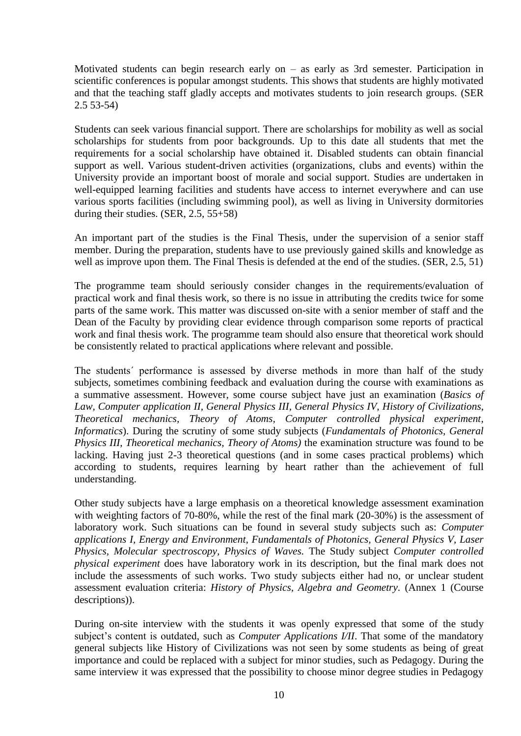Motivated students can begin research early on – as early as 3rd semester. Participation in scientific conferences is popular amongst students. This shows that students are highly motivated and that the teaching staff gladly accepts and motivates students to join research groups. (SER 2.5 53-54)

Students can seek various financial support. There are scholarships for mobility as well as social scholarships for students from poor backgrounds. Up to this date all students that met the requirements for a social scholarship have obtained it. Disabled students can obtain financial support as well. Various student-driven activities (organizations, clubs and events) within the University provide an important boost of morale and social support. Studies are undertaken in well-equipped learning facilities and students have access to internet everywhere and can use various sports facilities (including swimming pool), as well as living in University dormitories during their studies. (SER, 2.5, 55+58)

An important part of the studies is the Final Thesis, under the supervision of a senior staff member. During the preparation, students have to use previously gained skills and knowledge as well as improve upon them. The Final Thesis is defended at the end of the studies. (SER, 2.5, 51)

The programme team should seriously consider changes in the requirements/evaluation of practical work and final thesis work, so there is no issue in attributing the credits twice for some parts of the same work. This matter was discussed on-site with a senior member of staff and the Dean of the Faculty by providing clear evidence through comparison some reports of practical work and final thesis work. The programme team should also ensure that theoretical work should be consistently related to practical applications where relevant and possible.

The students´ performance is assessed by diverse methods in more than half of the study subjects, sometimes combining feedback and evaluation during the course with examinations as a summative assessment. However, some course subject have just an examination (*Basics of Law, Computer application II, General Physics III, General Physics IV, History of Civilizations, Theoretical mechanics, Theory of Atoms, Computer controlled physical experiment, Informatics*). During the scrutiny of some study subjects (*Fundamentals of Photonics, General Physics III, Theoretical mechanics, Theory of Atoms)* the examination structure was found to be lacking. Having just 2-3 theoretical questions (and in some cases practical problems) which according to students, requires learning by heart rather than the achievement of full understanding.

Other study subjects have a large emphasis on a theoretical knowledge assessment examination with weighting factors of 70-80%, while the rest of the final mark (20-30%) is the assessment of laboratory work. Such situations can be found in several study subjects such as: *Computer applications I, Energy and Environment, Fundamentals of Photonics, General Physics V, Laser Physics, Molecular spectroscopy, Physics of Waves.* The Study subject *Computer controlled physical experiment* does have laboratory work in its description, but the final mark does not include the assessments of such works. Two study subjects either had no, or unclear student assessment evaluation criteria: *History of Physics, Algebra and Geometry.* (Annex 1 (Course descriptions)).

During on-site interview with the students it was openly expressed that some of the study subject's content is outdated, such as *Computer Applications I/II*. That some of the mandatory general subjects like History of Civilizations was not seen by some students as being of great importance and could be replaced with a subject for minor studies, such as Pedagogy. During the same interview it was expressed that the possibility to choose minor degree studies in Pedagogy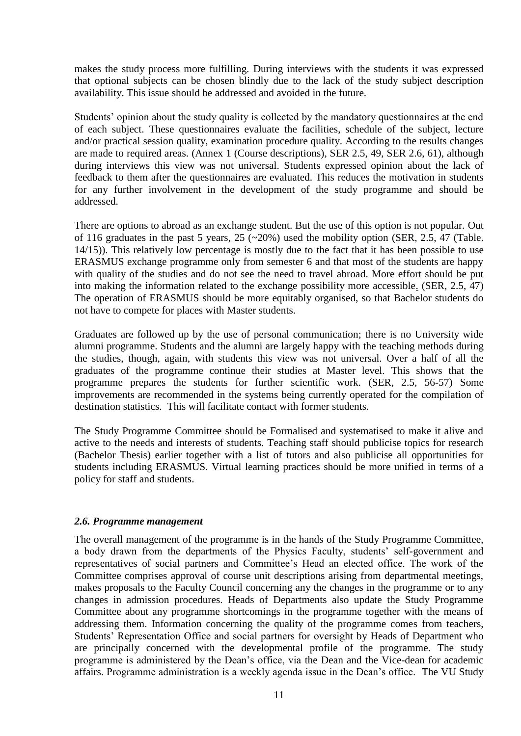makes the study process more fulfilling. During interviews with the students it was expressed that optional subjects can be chosen blindly due to the lack of the study subject description availability. This issue should be addressed and avoided in the future.

Students' opinion about the study quality is collected by the mandatory questionnaires at the end of each subject. These questionnaires evaluate the facilities, schedule of the subject, lecture and/or practical session quality, examination procedure quality. According to the results changes are made to required areas. (Annex 1 (Course descriptions), SER 2.5, 49, SER 2.6, 61), although during interviews this view was not universal. Students expressed opinion about the lack of feedback to them after the questionnaires are evaluated. This reduces the motivation in students for any further involvement in the development of the study programme and should be addressed.

There are options to abroad as an exchange student. But the use of this option is not popular. Out of 116 graduates in the past 5 years,  $25$  ( $\sim$ 20%) used the mobility option (SER, 2.5, 47 (Table. 14/15)). This relatively low percentage is mostly due to the fact that it has been possible to use ERASMUS exchange programme only from semester 6 and that most of the students are happy with quality of the studies and do not see the need to travel abroad. More effort should be put into making the information related to the exchange possibility more accessible. (SER, 2.5, 47) The operation of ERASMUS should be more equitably organised, so that Bachelor students do not have to compete for places with Master students.

Graduates are followed up by the use of personal communication; there is no University wide alumni programme. Students and the alumni are largely happy with the teaching methods during the studies, though, again, with students this view was not universal. Over a half of all the graduates of the programme continue their studies at Master level. This shows that the programme prepares the students for further scientific work. (SER, 2.5, 56-57) Some improvements are recommended in the systems being currently operated for the compilation of destination statistics. This will facilitate contact with former students.

The Study Programme Committee should be Formalised and systematised to make it alive and active to the needs and interests of students. Teaching staff should publicise topics for research (Bachelor Thesis) earlier together with a list of tutors and also publicise all opportunities for students including ERASMUS. Virtual learning practices should be more unified in terms of a policy for staff and students.

#### <span id="page-10-0"></span>*2.6. Programme management*

The overall management of the programme is in the hands of the Study Programme Committee, a body drawn from the departments of the Physics Faculty, students' self-government and representatives of social partners and Committee's Head an elected office. The work of the Committee comprises approval of course unit descriptions arising from departmental meetings, makes proposals to the Faculty Council concerning any the changes in the programme or to any changes in admission procedures. Heads of Departments also update the Study Programme Committee about any programme shortcomings in the programme together with the means of addressing them. Information concerning the quality of the programme comes from teachers, Students' Representation Office and social partners for oversight by Heads of Department who are principally concerned with the developmental profile of the programme. The study programme is administered by the Dean's office, via the Dean and the Vice-dean for academic affairs. Programme administration is a weekly agenda issue in the Dean's office. The VU Study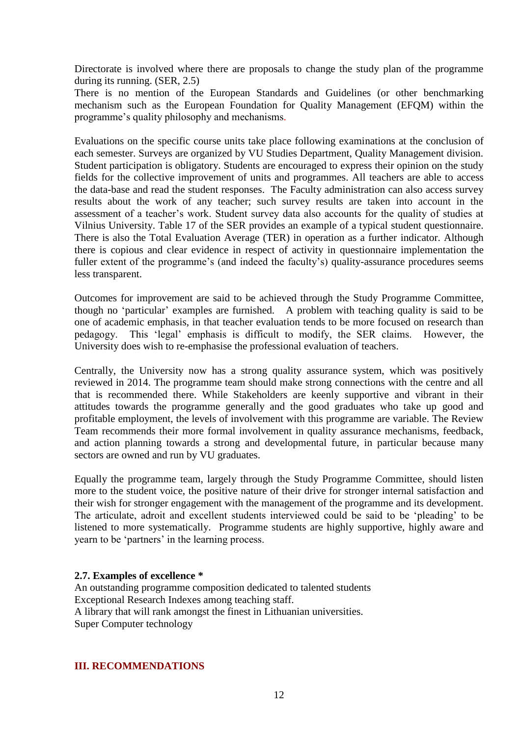Directorate is involved where there are proposals to change the study plan of the programme during its running. (SER, 2.5)

There is no mention of the European Standards and Guidelines (or other benchmarking mechanism such as the European Foundation for Quality Management (EFQM) within the programme's quality philosophy and mechanisms*.*

Evaluations on the specific course units take place following examinations at the conclusion of each semester. Surveys are organized by VU Studies Department, Quality Management division. Student participation is obligatory. Students are encouraged to express their opinion on the study fields for the collective improvement of units and programmes. All teachers are able to access the data-base and read the student responses. The Faculty administration can also access survey results about the work of any teacher; such survey results are taken into account in the assessment of a teacher's work. Student survey data also accounts for the quality of studies at Vilnius University. Table 17 of the SER provides an example of a typical student questionnaire. There is also the Total Evaluation Average (TER) in operation as a further indicator. Although there is copious and clear evidence in respect of activity in questionnaire implementation the fuller extent of the programme's (and indeed the faculty's) quality-assurance procedures seems less transparent.

Outcomes for improvement are said to be achieved through the Study Programme Committee, though no 'particular' examples are furnished. A problem with teaching quality is said to be one of academic emphasis, in that teacher evaluation tends to be more focused on research than pedagogy. This 'legal' emphasis is difficult to modify, the SER claims. However, the University does wish to re-emphasise the professional evaluation of teachers.

Centrally, the University now has a strong quality assurance system, which was positively reviewed in 2014. The programme team should make strong connections with the centre and all that is recommended there. While Stakeholders are keenly supportive and vibrant in their attitudes towards the programme generally and the good graduates who take up good and profitable employment, the levels of involvement with this programme are variable. The Review Team recommends their more formal involvement in quality assurance mechanisms, feedback, and action planning towards a strong and developmental future, in particular because many sectors are owned and run by VU graduates.

Equally the programme team, largely through the Study Programme Committee, should listen more to the student voice, the positive nature of their drive for stronger internal satisfaction and their wish for stronger engagement with the management of the programme and its development. The articulate, adroit and excellent students interviewed could be said to be 'pleading' to be listened to more systematically. Programme students are highly supportive, highly aware and yearn to be 'partners' in the learning process.

#### <span id="page-11-0"></span>**2.7. Examples of excellence \***

An outstanding programme composition dedicated to talented students Exceptional Research Indexes among teaching staff. A library that will rank amongst the finest in Lithuanian universities. Super Computer technology

#### <span id="page-11-1"></span>**III. RECOMMENDATIONS**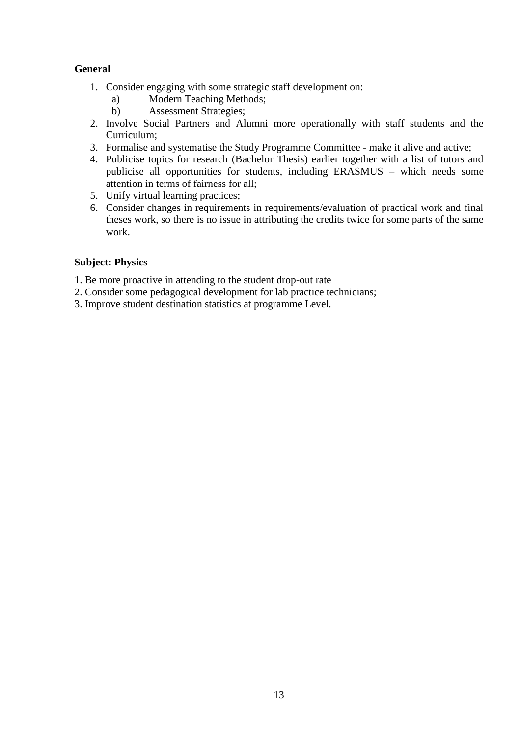## **General**

- 1. Consider engaging with some strategic staff development on:
	- a) Modern Teaching Methods;
	- b) Assessment Strategies;
- 2. Involve Social Partners and Alumni more operationally with staff students and the Curriculum;
- 3. Formalise and systematise the Study Programme Committee make it alive and active;
- 4. Publicise topics for research (Bachelor Thesis) earlier together with a list of tutors and publicise all opportunities for students, including ERASMUS – which needs some attention in terms of fairness for all;
- 5. Unify virtual learning practices;
- 6. Consider changes in requirements in requirements/evaluation of practical work and final theses work, so there is no issue in attributing the credits twice for some parts of the same work.

### **Subject: Physics**

- 1. Be more proactive in attending to the student drop-out rate
- 2. Consider some pedagogical development for lab practice technicians;
- 3. Improve student destination statistics at programme Level.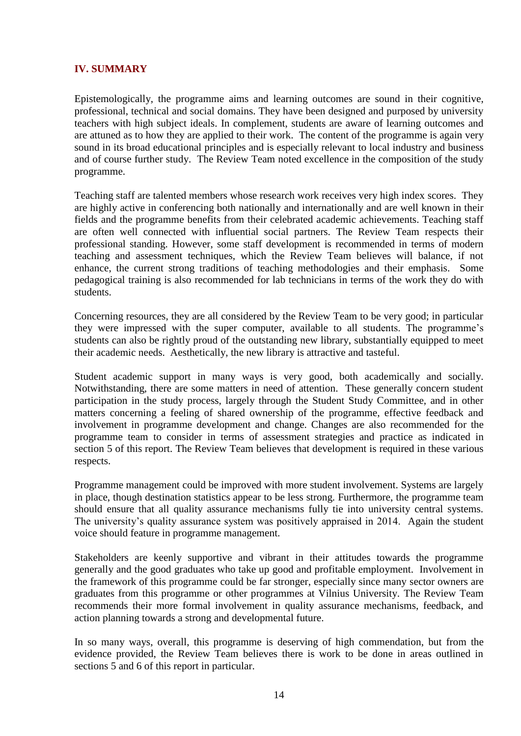## <span id="page-13-0"></span>**IV. SUMMARY**

Epistemologically, the programme aims and learning outcomes are sound in their cognitive, professional, technical and social domains. They have been designed and purposed by university teachers with high subject ideals. In complement, students are aware of learning outcomes and are attuned as to how they are applied to their work. The content of the programme is again very sound in its broad educational principles and is especially relevant to local industry and business and of course further study. The Review Team noted excellence in the composition of the study programme.

Teaching staff are talented members whose research work receives very high index scores. They are highly active in conferencing both nationally and internationally and are well known in their fields and the programme benefits from their celebrated academic achievements. Teaching staff are often well connected with influential social partners. The Review Team respects their professional standing. However, some staff development is recommended in terms of modern teaching and assessment techniques, which the Review Team believes will balance, if not enhance, the current strong traditions of teaching methodologies and their emphasis. Some pedagogical training is also recommended for lab technicians in terms of the work they do with students.

Concerning resources, they are all considered by the Review Team to be very good; in particular they were impressed with the super computer, available to all students. The programme's students can also be rightly proud of the outstanding new library, substantially equipped to meet their academic needs. Aesthetically, the new library is attractive and tasteful.

Student academic support in many ways is very good, both academically and socially. Notwithstanding, there are some matters in need of attention. These generally concern student participation in the study process, largely through the Student Study Committee, and in other matters concerning a feeling of shared ownership of the programme, effective feedback and involvement in programme development and change. Changes are also recommended for the programme team to consider in terms of assessment strategies and practice as indicated in section 5 of this report. The Review Team believes that development is required in these various respects.

Programme management could be improved with more student involvement. Systems are largely in place, though destination statistics appear to be less strong. Furthermore, the programme team should ensure that all quality assurance mechanisms fully tie into university central systems. The university's quality assurance system was positively appraised in 2014. Again the student voice should feature in programme management.

Stakeholders are keenly supportive and vibrant in their attitudes towards the programme generally and the good graduates who take up good and profitable employment. Involvement in the framework of this programme could be far stronger, especially since many sector owners are graduates from this programme or other programmes at Vilnius University. The Review Team recommends their more formal involvement in quality assurance mechanisms, feedback, and action planning towards a strong and developmental future.

In so many ways, overall, this programme is deserving of high commendation, but from the evidence provided, the Review Team believes there is work to be done in areas outlined in sections 5 and 6 of this report in particular.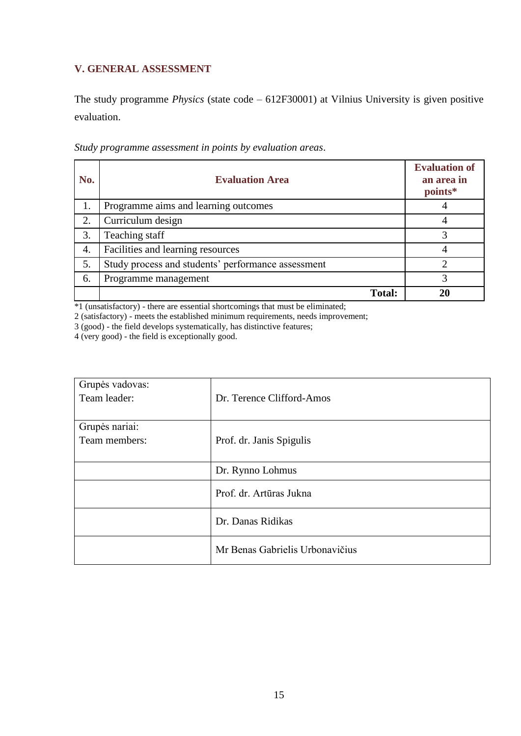## <span id="page-14-0"></span>**V. GENERAL ASSESSMENT**

The study programme *Physics* (state code – 612F30001) at Vilnius University is given positive evaluation.

| No. | <b>Evaluation Area</b>                             | <b>Evaluation of</b><br>an area in<br>points* |
|-----|----------------------------------------------------|-----------------------------------------------|
| 1.  | Programme aims and learning outcomes               |                                               |
| 2.  | Curriculum design                                  |                                               |
| 3.  | Teaching staff                                     |                                               |
| 4.  | Facilities and learning resources                  |                                               |
| 5.  | Study process and students' performance assessment |                                               |
| 6.  | Programme management                               |                                               |
|     | <b>Total:</b>                                      |                                               |

*Study programme assessment in points by evaluation areas*.

\*1 (unsatisfactory) - there are essential shortcomings that must be eliminated;

2 (satisfactory) - meets the established minimum requirements, needs improvement;

3 (good) - the field develops systematically, has distinctive features;

4 (very good) - the field is exceptionally good.

| Grupės vadovas:<br>Team leader: | Dr. Terence Clifford-Amos       |
|---------------------------------|---------------------------------|
| Grupės nariai:<br>Team members: | Prof. dr. Janis Spigulis        |
|                                 | Dr. Rynno Lohmus                |
|                                 | Prof. dr. Artūras Jukna         |
|                                 | Dr. Danas Ridikas               |
|                                 | Mr Benas Gabrielis Urbonavičius |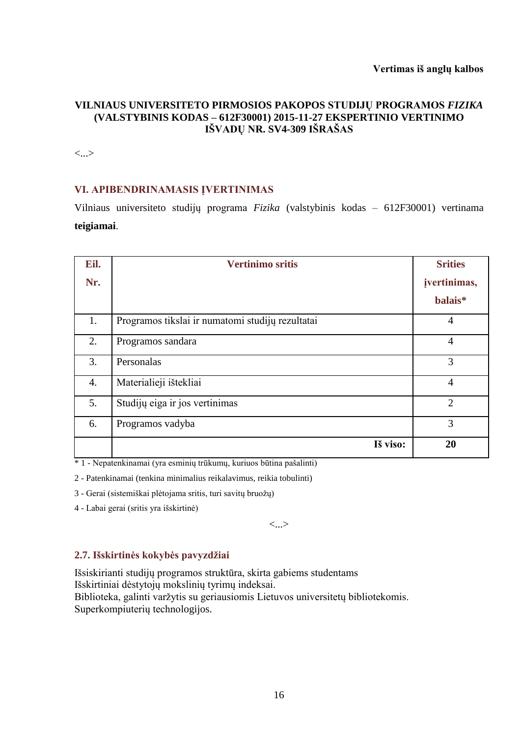## **VILNIAUS UNIVERSITETO PIRMOSIOS PAKOPOS STUDIJŲ PROGRAMOS** *FIZIKA* **(VALSTYBINIS KODAS – 612F30001) 2015-11-27 EKSPERTINIO VERTINIMO IŠVADŲ NR. SV4-309 IŠRAŠAS**

<...>

## **VI. APIBENDRINAMASIS ĮVERTINIMAS**

Vilniaus universiteto studijų programa *Fizika* (valstybinis kodas – 612F30001) vertinama **teigiamai**.

| Eil. | <b>Vertinimo sritis</b>                          | <b>Srities</b> |
|------|--------------------------------------------------|----------------|
| Nr.  |                                                  | jvertinimas,   |
|      |                                                  | balais*        |
| 1.   | Programos tikslai ir numatomi studijų rezultatai | $\overline{4}$ |
| 2.   | Programos sandara                                | $\overline{4}$ |
| 3.   | Personalas                                       | 3              |
| 4.   | Materialieji ištekliai                           | $\overline{4}$ |
| 5.   | Studijų eiga ir jos vertinimas                   | $\overline{2}$ |
| 6.   | Programos vadyba                                 | 3              |
|      | Iš viso:                                         | 20             |

\* 1 - Nepatenkinamai (yra esminių trūkumų, kuriuos būtina pašalinti)

2 - Patenkinamai (tenkina minimalius reikalavimus, reikia tobulinti)

3 - Gerai (sistemiškai plėtojama sritis, turi savitų bruožų)

4 - Labai gerai (sritis yra išskirtinė)

<...>

## **2.7. Išskirtinės kokybės pavyzdžiai**

Išsiskirianti studijų programos struktūra, skirta gabiems studentams Išskirtiniai dėstytojų mokslinių tyrimų indeksai. Biblioteka, galinti varžytis su geriausiomis Lietuvos universitetų bibliotekomis. Superkompiuterių technologijos.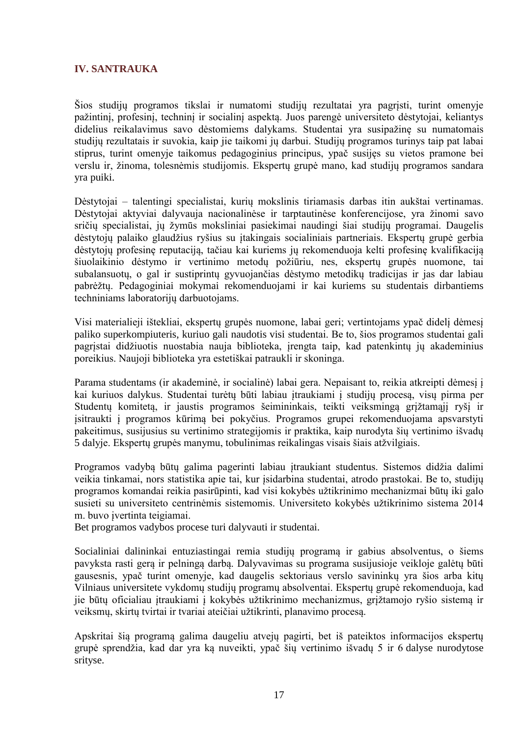## **IV. SANTRAUKA**

Šios studijų programos tikslai ir numatomi studijų rezultatai yra pagrįsti, turint omenyje pažintinį, profesinį, techninį ir socialinį aspektą. Juos parengė universiteto dėstytojai, keliantys didelius reikalavimus savo dėstomiems dalykams. Studentai yra susipažinę su numatomais studijų rezultatais ir suvokia, kaip jie taikomi jų darbui. Studijų programos turinys taip pat labai stiprus, turint omenyje taikomus pedagoginius principus, ypač susijęs su vietos pramone bei verslu ir, žinoma, tolesnėmis studijomis. Ekspertų grupė mano, kad studijų programos sandara yra puiki.

Dėstytojai – talentingi specialistai, kurių mokslinis tiriamasis darbas itin aukštai vertinamas. Dėstytojai aktyviai dalyvauja nacionalinėse ir tarptautinėse konferencijose, yra žinomi savo sričių specialistai, jų žymūs moksliniai pasiekimai naudingi šiai studijų programai. Daugelis dėstytojų palaiko glaudžius ryšius su įtakingais socialiniais partneriais. Ekspertų grupė gerbia dėstytojų profesinę reputaciją, tačiau kai kuriems jų rekomenduoja kelti profesinę kvalifikaciją šiuolaikinio dėstymo ir vertinimo metodų požiūriu, nes, ekspertų grupės nuomone, tai subalansuotų, o gal ir sustiprintų gyvuojančias dėstymo metodikų tradicijas ir jas dar labiau pabrėžtų. Pedagoginiai mokymai rekomenduojami ir kai kuriems su studentais dirbantiems techniniams laboratorijų darbuotojams.

Visi materialieji ištekliai, ekspertų grupės nuomone, labai geri; vertintojams ypač didelį dėmesį paliko superkompiuteris, kuriuo gali naudotis visi studentai. Be to, šios programos studentai gali pagrįstai didžiuotis nuostabia nauja biblioteka, įrengta taip, kad patenkintų jų akademinius poreikius. Naujoji biblioteka yra estetiškai patraukli ir skoninga.

Parama studentams (ir akademinė, ir socialinė) labai gera. Nepaisant to, reikia atkreipti dėmesį į kai kuriuos dalykus. Studentai turėtų būti labiau įtraukiami į studijų procesą, visų pirma per Studentų komitetą, ir jaustis programos šeimininkais, teikti veiksmingą grįžtamąjį ryšį ir įsitraukti į programos kūrimą bei pokyčius. Programos grupei rekomenduojama apsvarstyti pakeitimus, susijusius su vertinimo strategijomis ir praktika, kaip nurodyta šių vertinimo išvadų 5 dalyje. Ekspertų grupės manymu, tobulinimas reikalingas visais šiais atžvilgiais.

Programos vadybą būtų galima pagerinti labiau įtraukiant studentus. Sistemos didžia dalimi veikia tinkamai, nors statistika apie tai, kur įsidarbina studentai, atrodo prastokai. Be to, studijų programos komandai reikia pasirūpinti, kad visi kokybės užtikrinimo mechanizmai būtų iki galo susieti su universiteto centrinėmis sistemomis. Universiteto kokybės užtikrinimo sistema 2014 m. buvo įvertinta teigiamai.

Bet programos vadybos procese turi dalyvauti ir studentai.

Socialiniai dalininkai entuziastingai remia studijų programą ir gabius absolventus, o šiems pavyksta rasti gerą ir pelningą darbą. Dalyvavimas su programa susijusioje veikloje galėtų būti gausesnis, ypač turint omenyje, kad daugelis sektoriaus verslo savininkų yra šios arba kitų Vilniaus universitete vykdomų studijų programų absolventai. Ekspertų grupė rekomenduoja, kad jie būtų oficialiau įtraukiami į kokybės užtikrinimo mechanizmus, grįžtamojo ryšio sistemą ir veiksmų, skirtų tvirtai ir tvariai ateičiai užtikrinti, planavimo procesą.

Apskritai šią programą galima daugeliu atvejų pagirti, bet iš pateiktos informacijos ekspertų grupė sprendžia, kad dar yra ką nuveikti, ypač šių vertinimo išvadų 5 ir 6 dalyse nurodytose srityse.